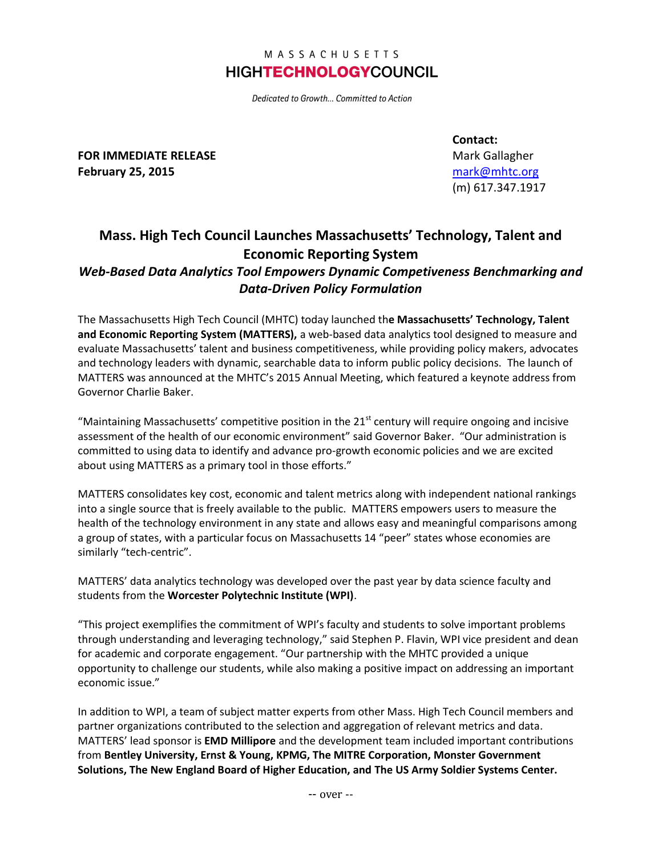## MASSACHUSETTS **HIGHTECHNOLOGYCOUNCIL**

Dedicated to Growth... Committed to Action

**FOR IMMEDIATE RELEASE February 25, 2015**

**Contact:** Mark Gallagher [mark@mhtc.org](mailto:mark@mhtc.org) (m) 617.347.1917

## **Mass. High Tech Council Launches Massachusetts' Technology, Talent and Economic Reporting System**

## *Web-Based Data Analytics Tool Empowers Dynamic Competiveness Benchmarking and Data-Driven Policy Formulation*

The Massachusetts High Tech Council (MHTC) today launched th**e Massachusetts' Technology, Talent and Economic Reporting System (MATTERS),** a web-based data analytics tool designed to measure and evaluate Massachusetts' talent and business competitiveness, while providing policy makers, advocates and technology leaders with dynamic, searchable data to inform public policy decisions. The launch of MATTERS was announced at the MHTC's 2015 Annual Meeting, which featured a keynote address from Governor Charlie Baker.

"Maintaining Massachusetts' competitive position in the  $21<sup>st</sup>$  century will require ongoing and incisive assessment of the health of our economic environment" said Governor Baker. "Our administration is committed to using data to identify and advance pro-growth economic policies and we are excited about using MATTERS as a primary tool in those efforts."

MATTERS consolidates key cost, economic and talent metrics along with independent national rankings into a single source that is freely available to the public. MATTERS empowers users to measure the health of the technology environment in any state and allows easy and meaningful comparisons among a group of states, with a particular focus on Massachusetts 14 "peer" states whose economies are similarly "tech-centric".

MATTERS' data analytics technology was developed over the past year by data science faculty and students from the **Worcester Polytechnic Institute (WPI)**.

"This project exemplifies the commitment of WPI's faculty and students to solve important problems through understanding and leveraging technology," said Stephen P. Flavin, WPI vice president and dean for academic and corporate engagement. "Our partnership with the MHTC provided a unique opportunity to challenge our students, while also making a positive impact on addressing an important economic issue."

In addition to WPI, a team of subject matter experts from other Mass. High Tech Council members and partner organizations contributed to the selection and aggregation of relevant metrics and data. MATTERS' lead sponsor is **EMD Millipore** and the development team included important contributions from **Bentley University, Ernst & Young, KPMG, The MITRE Corporation, Monster Government Solutions, The New England Board of Higher Education, and The US Army Soldier Systems Center.**